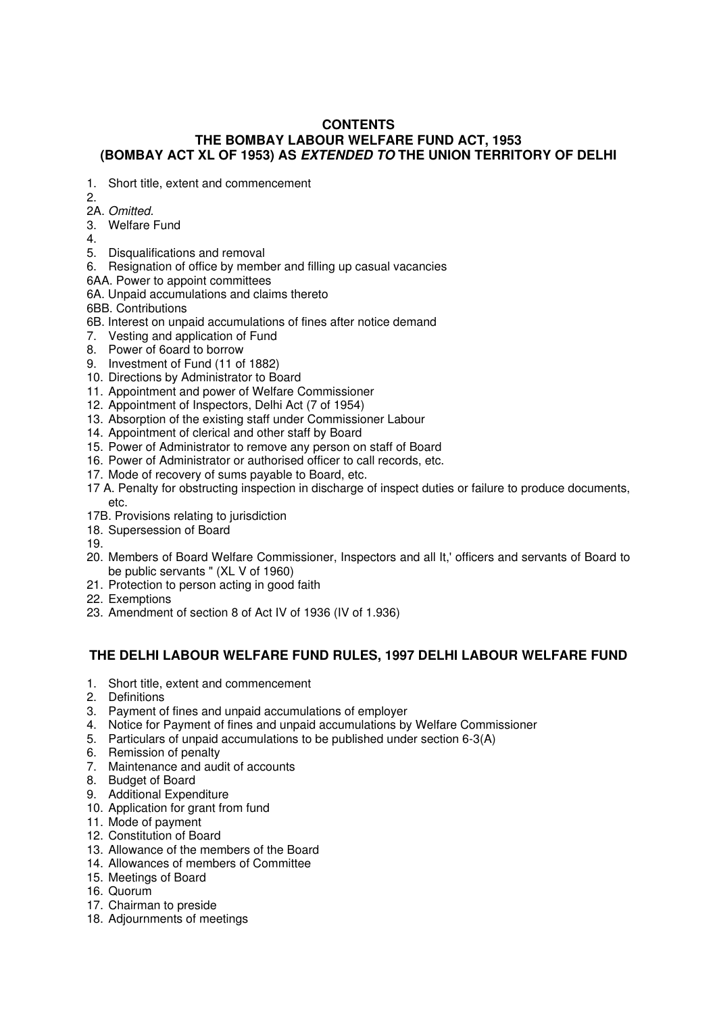# **CONTENTS THE BOMBAY LABOUR WELFARE FUND ACT, 1953 (BOMBAY ACT XL OF 1953) AS EXTENDED TO THE UNION TERRITORY OF DELHI**

- 1. Short title, extent and commencement
- 2.
- 2A. Omitted.
- 3. Welfare Fund
- 4.
- 5. Disqualifications and removal
- 6. Resignation of office by member and filling up casual vacancies
- 6AA. Power to appoint committees
- 6A. Unpaid accumulations and claims thereto
- 6BB. Contributions
- 6B. Interest on unpaid accumulations of fines after notice demand
- 7. Vesting and application of Fund
- 8. Power of 6oard to borrow
- 9. Investment of Fund (11 of 1882)
- 10. Directions by Administrator to Board
- 11. Appointment and power of Welfare Commissioner
- 12. Appointment of Inspectors, Delhi Act (7 of 1954)
- 13. Absorption of the existing staff under Commissioner Labour
- 14. Appointment of clerical and other staff by Board
- 15. Power of Administrator to remove any person on staff of Board
- 16. Power of Administrator or authorised officer to call records, etc.
- 17. Mode of recovery of sums payable to Board, etc.
- 17 A. Penalty for obstructing inspection in discharge of inspect duties or failure to produce documents, etc.
- 17B. Provisions relating to jurisdiction
- 18. Supersession of Board
- 19.
- 20. Members of Board Welfare Commissioner, Inspectors and all It,' officers and servants of Board to be public servants " (XL V of 1960)
- 21. Protection to person acting in good faith
- 22. Exemptions
- 23. Amendment of section 8 of Act IV of 1936 (IV of 1.936)

# **THE DELHI LABOUR WELFARE FUND RULES, 1997 DELHI LABOUR WELFARE FUND**

- 1. Short title, extent and commencement
- 2. Definitions
- 3. Payment of fines and unpaid accumulations of employer
- 4. Notice for Payment of fines and unpaid accumulations by Welfare Commissioner
- 5. Particulars of unpaid accumulations to be published under section 6-3(A)
- 6. Remission of penalty
- 7. Maintenance and audit of accounts
- 8. Budget of Board
- 9. Additional Expenditure
- 10. Application for grant from fund
- 11. Mode of payment
- 12. Constitution of Board
- 13. Allowance of the members of the Board
- 14. Allowances of members of Committee
- 15. Meetings of Board
- 16. Quorum
- 17. Chairman to preside
- 18. Adjournments of meetings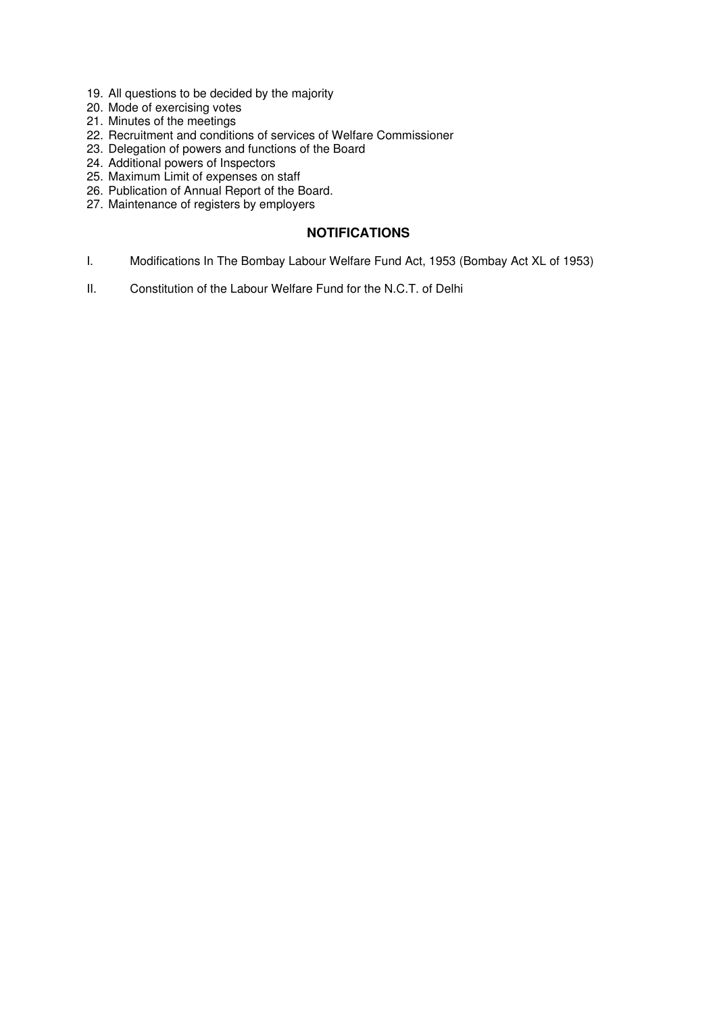- 19. All questions to be decided by the majority
- 20. Mode of exercising votes
- 21. Minutes of the meetings
- 22. Recruitment and conditions of services of Welfare Commissioner
- 23. Delegation of powers and functions of the Board
- 24. Additional powers of Inspectors
- 25. Maximum Limit of expenses on staff
- 26. Publication of Annual Report of the Board.
- 27. Maintenance of registers by employers

# **NOTIFICATIONS**

- I. Modifications In The Bombay Labour Welfare Fund Act, 1953 (Bombay Act XL of 1953)
- II. Constitution of the Labour Welfare Fund for the N.C.T. of Delhi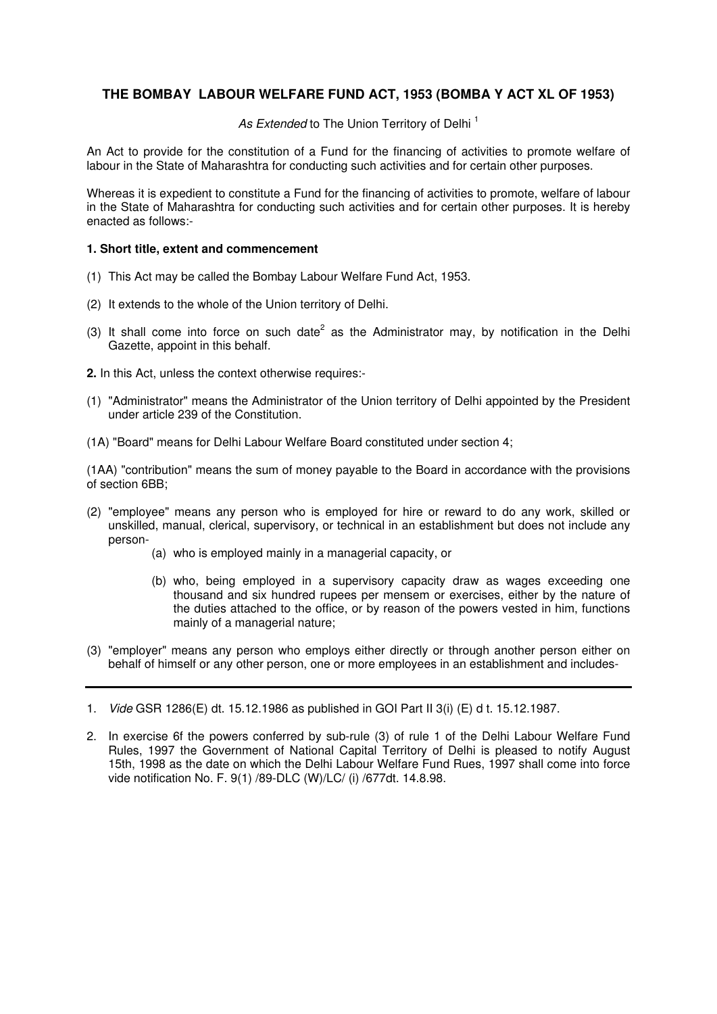# **THE BOMBAY LABOUR WELFARE FUND ACT, 1953 (BOMBA Y ACT XL OF 1953)**

As Extended to The Union Territory of Delhi<sup>1</sup>

An Act to provide for the constitution of a Fund for the financing of activities to promote welfare of labour in the State of Maharashtra for conducting such activities and for certain other purposes.

Whereas it is expedient to constitute a Fund for the financing of activities to promote, welfare of labour in the State of Maharashtra for conducting such activities and for certain other purposes. It is hereby enacted as follows:-

### **1. Short title, extent and commencement**

- (1) This Act may be called the Bombay Labour Welfare Fund Act, 1953.
- (2) It extends to the whole of the Union territory of Delhi.
- (3) It shall come into force on such date<sup>2</sup> as the Administrator may, by notification in the Delhi Gazette, appoint in this behalf.
- **2.** In this Act, unless the context otherwise requires:-
- (1) "Administrator" means the Administrator of the Union territory of Delhi appointed by the President under article 239 of the Constitution.
- (1A) "Board" means for Delhi Labour Welfare Board constituted under section 4;

(1AA) "contribution" means the sum of money payable to the Board in accordance with the provisions of section 6BB;

- (2) "employee" means any person who is employed for hire or reward to do any work, skilled or unskilled, manual, clerical, supervisory, or technical in an establishment but does not include any person-
	- (a) who is employed mainly in a managerial capacity, or
	- (b) who, being employed in a supervisory capacity draw as wages exceeding one thousand and six hundred rupees per mensem or exercises, either by the nature of the duties attached to the office, or by reason of the powers vested in him, functions mainly of a managerial nature;
- (3) "employer" means any person who employs either directly or through another person either on behalf of himself or any other person, one or more employees in an establishment and includes-

<sup>1.</sup> Vide GSR 1286(E) dt. 15.12.1986 as published in GOI Part II 3(i) (E) d t. 15.12.1987.

<sup>2.</sup> In exercise 6f the powers conferred by sub-rule (3) of rule 1 of the Delhi Labour Welfare Fund Rules, 1997 the Government of National Capital Territory of Delhi is pleased to notify August 15th, 1998 as the date on which the Delhi Labour Welfare Fund Rues, 1997 shall come into force vide notification No. F. 9(1) /89-DLC (W)/LC/ (i) /677dt. 14.8.98.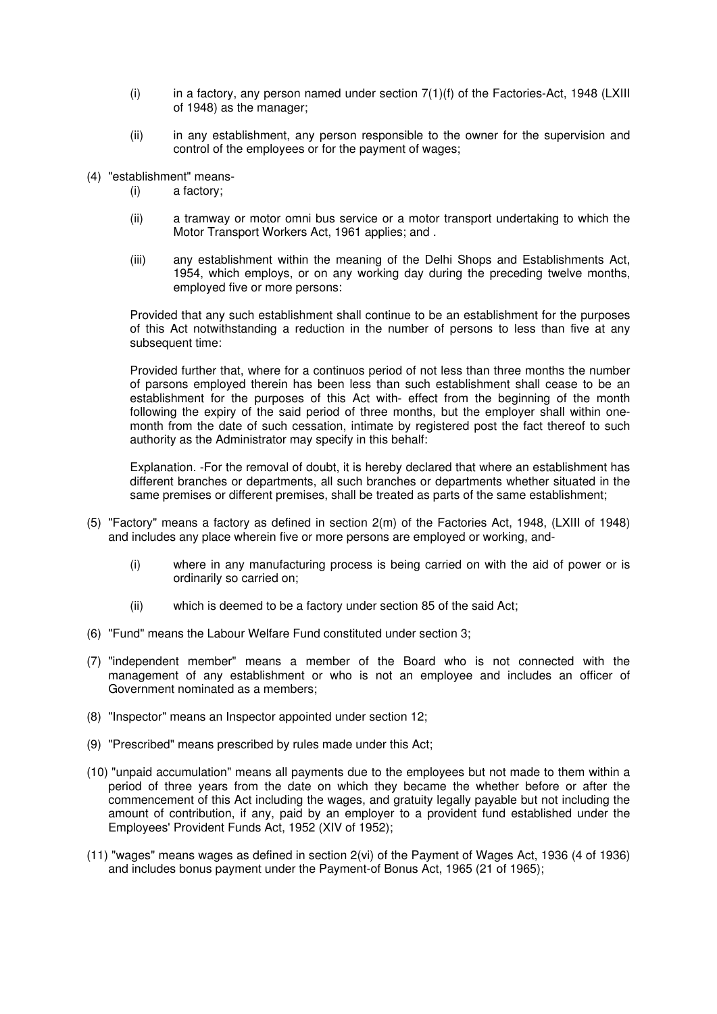- (i) in a factory, any person named under section  $7(1)(f)$  of the Factories-Act, 1948 (LXIII of 1948) as the manager;
- (ii) in any establishment, any person responsible to the owner for the supervision and control of the employees or for the payment of wages;
- (4) "establishment" means-
	- (i) a factory;
	- (ii) a tramway or motor omni bus service or a motor transport undertaking to which the Motor Transport Workers Act, 1961 applies; and .
	- (iii) any establishment within the meaning of the Delhi Shops and Establishments Act, 1954, which employs, or on any working day during the preceding twelve months, employed five or more persons:

Provided that any such establishment shall continue to be an establishment for the purposes of this Act notwithstanding a reduction in the number of persons to less than five at any subsequent time:

Provided further that, where for a continuos period of not less than three months the number of parsons employed therein has been less than such establishment shall cease to be an establishment for the purposes of this Act with- effect from the beginning of the month following the expiry of the said period of three months, but the employer shall within onemonth from the date of such cessation, intimate by registered post the fact thereof to such authority as the Administrator may specify in this behalf:

Explanation. -For the removal of doubt, it is hereby declared that where an establishment has different branches or departments, all such branches or departments whether situated in the same premises or different premises, shall be treated as parts of the same establishment;

- (5) "Factory" means a factory as defined in section 2(m) of the Factories Act, 1948, (LXIII of 1948) and includes any place wherein five or more persons are employed or working, and-
	- (i) where in any manufacturing process is being carried on with the aid of power or is ordinarily so carried on;
	- (ii) which is deemed to be a factory under section 85 of the said Act;
- (6) "Fund" means the Labour Welfare Fund constituted under section 3;
- (7) "independent member" means a member of the Board who is not connected with the management of any establishment or who is not an employee and includes an officer of Government nominated as a members;
- (8) "Inspector" means an Inspector appointed under section 12;
- (9) "Prescribed" means prescribed by rules made under this Act;
- (10)"unpaid accumulation" means all payments due to the employees but not made to them within a period of three years from the date on which they became the whether before or after the commencement of this Act including the wages, and gratuity legally payable but not including the amount of contribution, if any, paid by an employer to a provident fund established under the Employees' Provident Funds Act, 1952 (XIV of 1952);
- (11)"wages" means wages as defined in section 2(vi) of the Payment of Wages Act, 1936 (4 of 1936) and includes bonus payment under the Payment-of Bonus Act, 1965 (21 of 1965);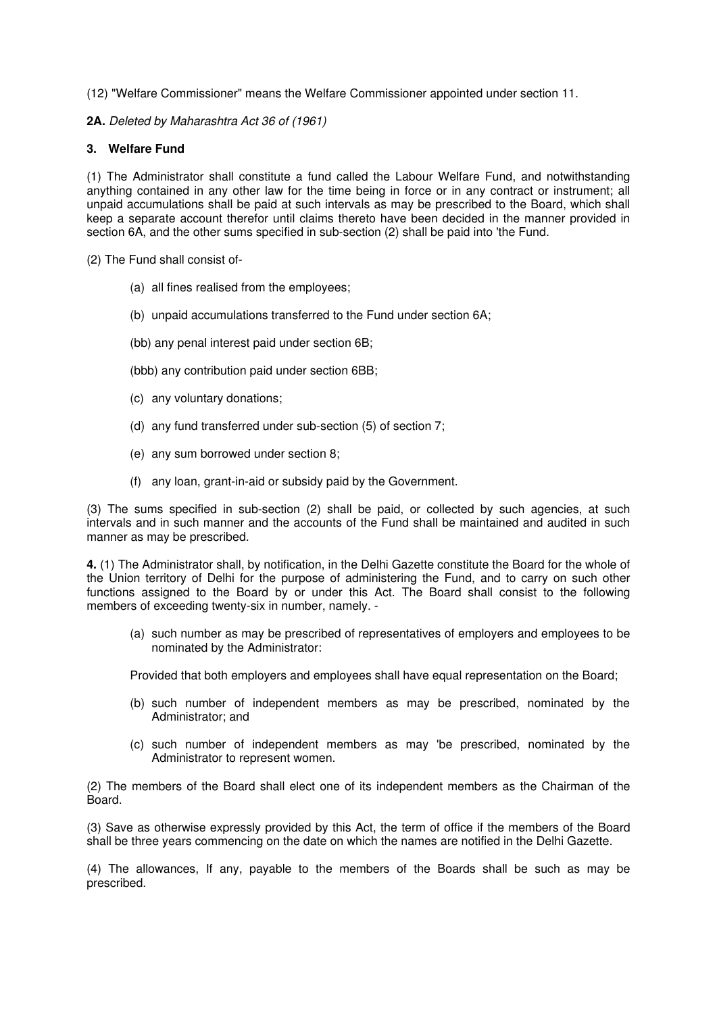(12)"Welfare Commissioner" means the Welfare Commissioner appointed under section 11.

**2A.** Deleted by Maharashtra Act 36 of (1961)

# **3. Welfare Fund**

(1) The Administrator shall constitute a fund called the Labour Welfare Fund, and notwithstanding anything contained in any other law for the time being in force or in any contract or instrument; all unpaid accumulations shall be paid at such intervals as may be prescribed to the Board, which shall keep a separate account therefor until claims thereto have been decided in the manner provided in section 6A, and the other sums specified in sub-section (2) shall be paid into 'the Fund.

(2) The Fund shall consist of-

- (a) all fines realised from the employees;
- (b) unpaid accumulations transferred to the Fund under section 6A;
- (bb) any penal interest paid under section 6B;
- (bbb) any contribution paid under section 6BB;
- (c) any voluntary donations;
- (d) any fund transferred under sub-section (5) of section 7;
- (e) any sum borrowed under section 8;
- (f) any loan, grant-in-aid or subsidy paid by the Government.

(3) The sums specified in sub-section (2) shall be paid, or collected by such agencies, at such intervals and in such manner and the accounts of the Fund shall be maintained and audited in such manner as may be prescribed.

**4.** (1) The Administrator shall, by notification, in the Delhi Gazette constitute the Board for the whole of the Union territory of Delhi for the purpose of administering the Fund, and to carry on such other functions assigned to the Board by or under this Act. The Board shall consist to the following members of exceeding twenty-six in number, namely. -

(a) such number as may be prescribed of representatives of employers and employees to be nominated by the Administrator:

Provided that both employers and employees shall have equal representation on the Board;

- (b) such number of independent members as may be prescribed, nominated by the Administrator; and
- (c) such number of independent members as may 'be prescribed, nominated by the Administrator to represent women.

(2) The members of the Board shall elect one of its independent members as the Chairman of the Board.

(3) Save as otherwise expressly provided by this Act, the term of office if the members of the Board shall be three years commencing on the date on which the names are notified in the Delhi Gazette.

(4) The allowances, If any, payable to the members of the Boards shall be such as may be prescribed.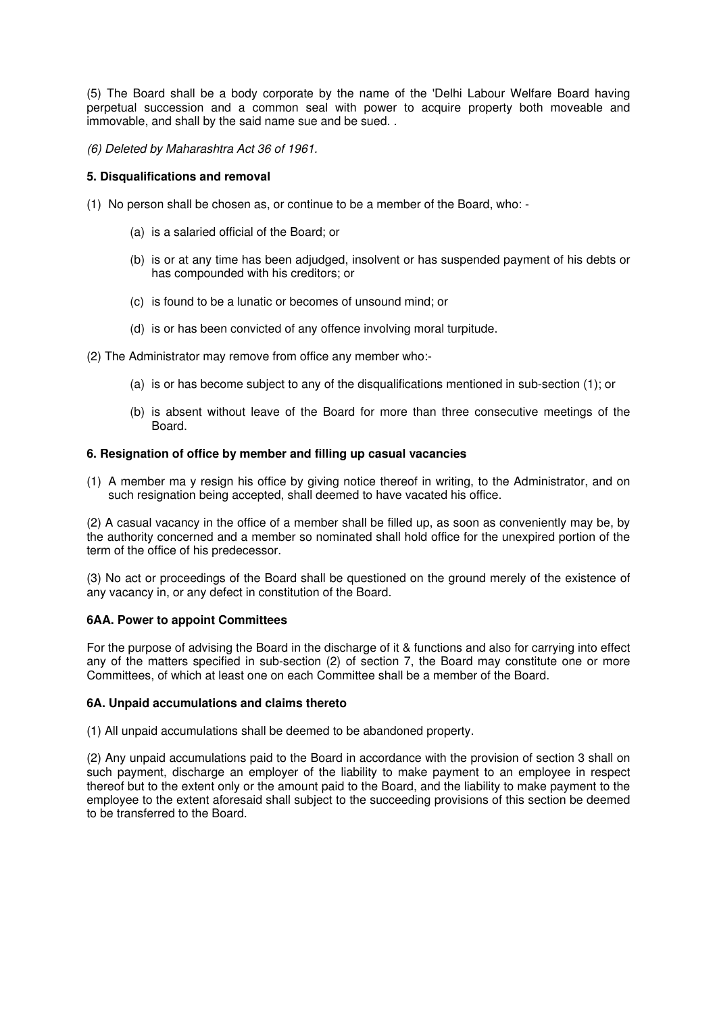(5) The Board shall be a body corporate by the name of the 'Delhi Labour Welfare Board having perpetual succession and a common seal with power to acquire property both moveable and immovable, and shall by the said name sue and be sued. .

(6) Deleted by Maharashtra Act 36 of 1961.

# **5. Disqualifications and removal**

- (1) No person shall be chosen as, or continue to be a member of the Board, who:
	- (a) is a salaried official of the Board; or
	- (b) is or at any time has been adjudged, insolvent or has suspended payment of his debts or has compounded with his creditors; or
	- (c) is found to be a lunatic or becomes of unsound mind; or
	- (d) is or has been convicted of any offence involving moral turpitude.
- (2) The Administrator may remove from office any member who:-
	- (a) is or has become subject to any of the disqualifications mentioned in sub-section (1); or
	- (b) is absent without leave of the Board for more than three consecutive meetings of the Board.

## **6. Resignation of office by member and filling up casual vacancies**

(1) A member ma y resign his office by giving notice thereof in writing, to the Administrator, and on such resignation being accepted, shall deemed to have vacated his office.

(2) A casual vacancy in the office of a member shall be filled up, as soon as conveniently may be, by the authority concerned and a member so nominated shall hold office for the unexpired portion of the term of the office of his predecessor.

(3) No act or proceedings of the Board shall be questioned on the ground merely of the existence of any vacancy in, or any defect in constitution of the Board.

# **6AA. Power to appoint Committees**

For the purpose of advising the Board in the discharge of it & functions and also for carrying into effect any of the matters specified in sub-section (2) of section 7, the Board may constitute one or more Committees, of which at least one on each Committee shall be a member of the Board.

#### **6A. Unpaid accumulations and claims thereto**

(1) All unpaid accumulations shall be deemed to be abandoned property.

(2) Any unpaid accumulations paid to the Board in accordance with the provision of section 3 shall on such payment, discharge an employer of the liability to make payment to an employee in respect thereof but to the extent only or the amount paid to the Board, and the liability to make payment to the employee to the extent aforesaid shall subject to the succeeding provisions of this section be deemed to be transferred to the Board.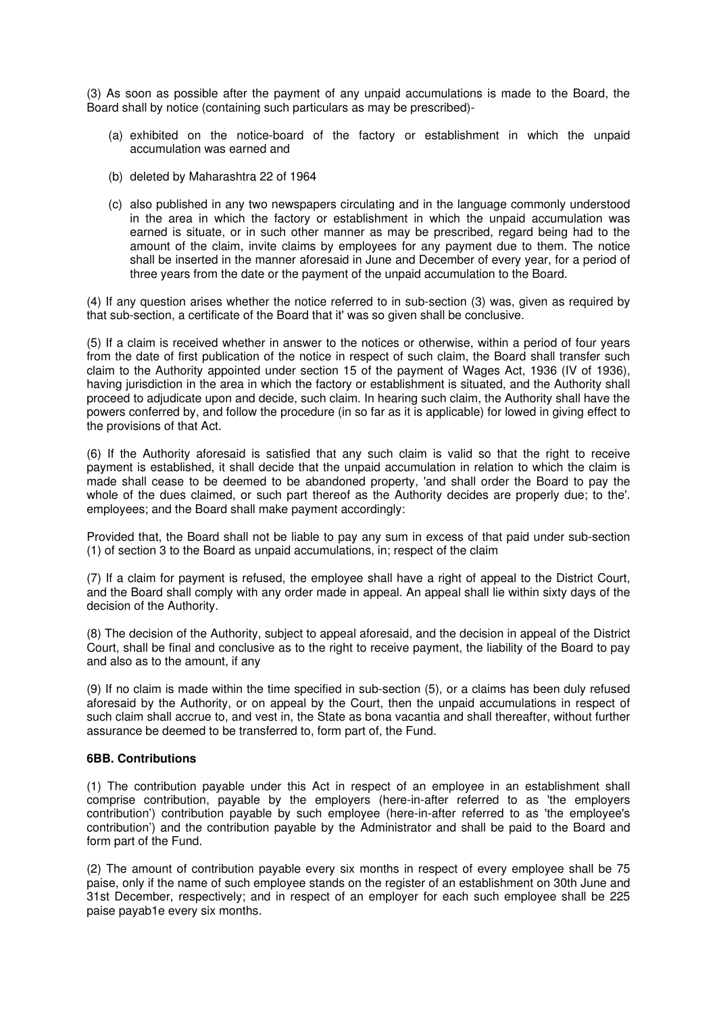(3) As soon as possible after the payment of any unpaid accumulations is made to the Board, the Board shall by notice (containing such particulars as may be prescribed)-

- (a) exhibited on the notice-board of the factory or establishment in which the unpaid accumulation was earned and
- (b) deleted by Maharashtra 22 of 1964
- (c) also published in any two newspapers circulating and in the language commonly understood in the area in which the factory or establishment in which the unpaid accumulation was earned is situate, or in such other manner as may be prescribed, regard being had to the amount of the claim, invite claims by employees for any payment due to them. The notice shall be inserted in the manner aforesaid in June and December of every year, for a period of three years from the date or the payment of the unpaid accumulation to the Board.

(4) If any question arises whether the notice referred to in sub-section (3) was, given as required by that sub-section, a certificate of the Board that it' was so given shall be conclusive.

(5) If a claim is received whether in answer to the notices or otherwise, within a period of four years from the date of first publication of the notice in respect of such claim, the Board shall transfer such claim to the Authority appointed under section 15 of the payment of Wages Act, 1936 (IV of 1936), having jurisdiction in the area in which the factory or establishment is situated, and the Authority shall proceed to adjudicate upon and decide, such claim. In hearing such claim, the Authority shall have the powers conferred by, and follow the procedure (in so far as it is applicable) for lowed in giving effect to the provisions of that Act.

(6) If the Authority aforesaid is satisfied that any such claim is valid so that the right to receive payment is established, it shall decide that the unpaid accumulation in relation to which the claim is made shall cease to be deemed to be abandoned property, 'and shall order the Board to pay the whole of the dues claimed, or such part thereof as the Authority decides are properly due; to the'. employees; and the Board shall make payment accordingly:

Provided that, the Board shall not be liable to pay any sum in excess of that paid under sub-section (1) of section 3 to the Board as unpaid accumulations, in; respect of the claim

(7) If a claim for payment is refused, the employee shall have a right of appeal to the District Court, and the Board shall comply with any order made in appeal. An appeal shall lie within sixty days of the decision of the Authority.

(8) The decision of the Authority, subject to appeal aforesaid, and the decision in appeal of the District Court, shall be final and conclusive as to the right to receive payment, the liability of the Board to pay and also as to the amount, if any

(9) If no claim is made within the time specified in sub-section (5), or a claims has been duly refused aforesaid by the Authority, or on appeal by the Court, then the unpaid accumulations in respect of such claim shall accrue to, and vest in, the State as bona vacantia and shall thereafter, without further assurance be deemed to be transferred to, form part of, the Fund.

#### **6BB. Contributions**

(1) The contribution payable under this Act in respect of an employee in an establishment shall comprise contribution, payable by the employers (here-in-after referred to as 'the employers contribution') contribution payable by such employee (here-in-after referred to as 'the employee's contribution') and the contribution payable by the Administrator and shall be paid to the Board and form part of the Fund.

(2) The amount of contribution payable every six months in respect of every employee shall be 75 paise, only if the name of such employee stands on the register of an establishment on 30th June and 31st December, respectively; and in respect of an employer for each such employee shall be 225 paise payab1e every six months.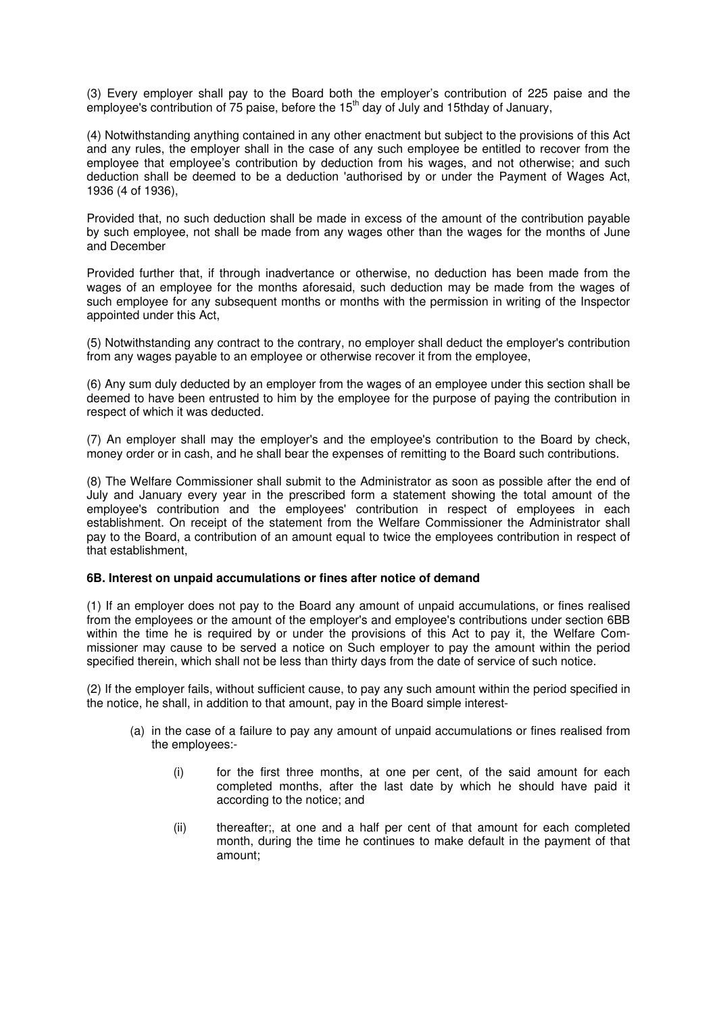(3) Every employer shall pay to the Board both the employer's contribution of 225 paise and the employee's contribution of  $75$  paise, before the  $15<sup>th</sup>$  day of July and 15thday of January,

(4) Notwithstanding anything contained in any other enactment but subject to the provisions of this Act and any rules, the employer shall in the case of any such employee be entitled to recover from the employee that employee's contribution by deduction from his wages, and not otherwise; and such deduction shall be deemed to be a deduction 'authorised by or under the Payment of Wages Act, 1936 (4 of 1936),

Provided that, no such deduction shall be made in excess of the amount of the contribution payable by such employee, not shall be made from any wages other than the wages for the months of June and December

Provided further that, if through inadvertance or otherwise, no deduction has been made from the wages of an employee for the months aforesaid, such deduction may be made from the wages of such employee for any subsequent months or months with the permission in writing of the Inspector appointed under this Act,

(5) Notwithstanding any contract to the contrary, no employer shall deduct the employer's contribution from any wages payable to an employee or otherwise recover it from the employee,

(6) Any sum duly deducted by an employer from the wages of an employee under this section shall be deemed to have been entrusted to him by the employee for the purpose of paying the contribution in respect of which it was deducted.

(7) An employer shall may the employer's and the employee's contribution to the Board by check, money order or in cash, and he shall bear the expenses of remitting to the Board such contributions.

(8) The Welfare Commissioner shall submit to the Administrator as soon as possible after the end of July and January every year in the prescribed form a statement showing the total amount of the employee's contribution and the employees' contribution in respect of employees in each establishment. On receipt of the statement from the Welfare Commissioner the Administrator shall pay to the Board, a contribution of an amount equal to twice the employees contribution in respect of that establishment,

#### **6B. Interest on unpaid accumulations or fines after notice of demand**

(1) If an employer does not pay to the Board any amount of unpaid accumulations, or fines realised from the employees or the amount of the employer's and employee's contributions under section 6BB within the time he is required by or under the provisions of this Act to pay it, the Welfare Commissioner may cause to be served a notice on Such employer to pay the amount within the period specified therein, which shall not be less than thirty days from the date of service of such notice.

(2) If the employer fails, without sufficient cause, to pay any such amount within the period specified in the notice, he shall, in addition to that amount, pay in the Board simple interest-

- (a) in the case of a failure to pay any amount of unpaid accumulations or fines realised from the employees:-
	- (i) for the first three months, at one per cent, of the said amount for each completed months, after the last date by which he should have paid it according to the notice; and
	- (ii) thereafter;, at one and a half per cent of that amount for each completed month, during the time he continues to make default in the payment of that amount;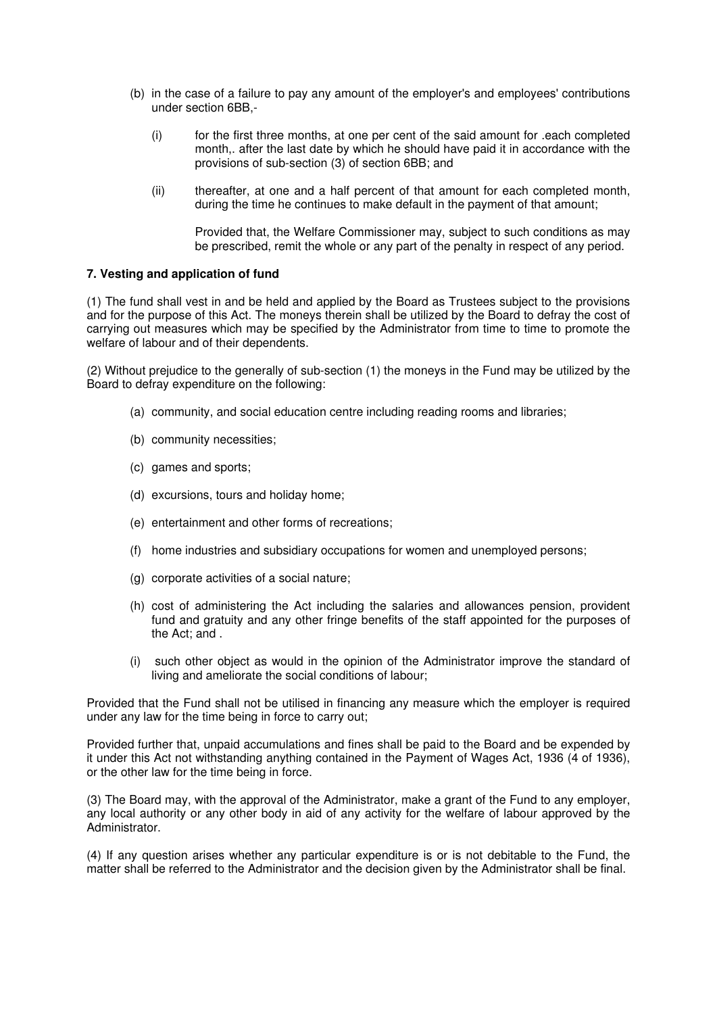- (b) in the case of a failure to pay any amount of the employer's and employees' contributions under section 6BB,-
	- (i) for the first three months, at one per cent of the said amount for .each completed month,. after the last date by which he should have paid it in accordance with the provisions of sub-section (3) of section 6BB; and
	- (ii) thereafter, at one and a half percent of that amount for each completed month, during the time he continues to make default in the payment of that amount;

Provided that, the Welfare Commissioner may, subject to such conditions as may be prescribed, remit the whole or any part of the penalty in respect of any period.

## **7. Vesting and application of fund**

(1) The fund shall vest in and be held and applied by the Board as Trustees subject to the provisions and for the purpose of this Act. The moneys therein shall be utilized by the Board to defray the cost of carrying out measures which may be specified by the Administrator from time to time to promote the welfare of labour and of their dependents.

(2) Without prejudice to the generally of sub-section (1) the moneys in the Fund may be utilized by the Board to defray expenditure on the following:

- (a) community, and social education centre including reading rooms and libraries;
- (b) community necessities;
- (c) games and sports;
- (d) excursions, tours and holiday home;
- (e) entertainment and other forms of recreations;
- (f) home industries and subsidiary occupations for women and unemployed persons;
- (g) corporate activities of a social nature;
- (h) cost of administering the Act including the salaries and allowances pension, provident fund and gratuity and any other fringe benefits of the staff appointed for the purposes of the Act; and .
- (i) such other object as would in the opinion of the Administrator improve the standard of living and ameliorate the social conditions of labour;

Provided that the Fund shall not be utilised in financing any measure which the employer is required under any law for the time being in force to carry out;

Provided further that, unpaid accumulations and fines shall be paid to the Board and be expended by it under this Act not withstanding anything contained in the Payment of Wages Act, 1936 (4 of 1936), or the other law for the time being in force.

(3) The Board may, with the approval of the Administrator, make a grant of the Fund to any employer, any local authority or any other body in aid of any activity for the welfare of labour approved by the Administrator.

(4) If any question arises whether any particular expenditure is or is not debitable to the Fund, the matter shall be referred to the Administrator and the decision given by the Administrator shall be final.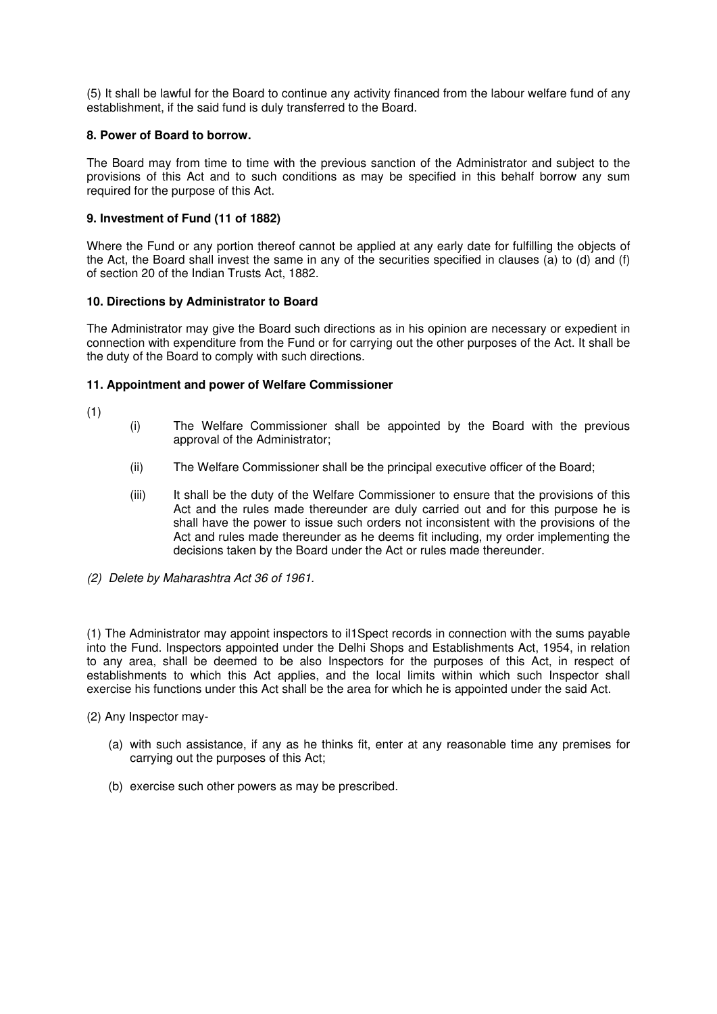(5) It shall be lawful for the Board to continue any activity financed from the labour welfare fund of any establishment, if the said fund is duly transferred to the Board.

## **8. Power of Board to borrow.**

The Board may from time to time with the previous sanction of the Administrator and subject to the provisions of this Act and to such conditions as may be specified in this behalf borrow any sum required for the purpose of this Act.

# **9. Investment of Fund (11 of 1882)**

Where the Fund or any portion thereof cannot be applied at any early date for fulfilling the objects of the Act, the Board shall invest the same in any of the securities specified in clauses (a) to (d) and (f) of section 20 of the Indian Trusts Act, 1882.

## **10. Directions by Administrator to Board**

The Administrator may give the Board such directions as in his opinion are necessary or expedient in connection with expenditure from the Fund or for carrying out the other purposes of the Act. It shall be the duty of the Board to comply with such directions.

## **11. Appointment and power of Welfare Commissioner**

(1)

- (i) The Welfare Commissioner shall be appointed by the Board with the previous approval of the Administrator;
- (ii) The Welfare Commissioner shall be the principal executive officer of the Board;
- (iii) It shall be the duty of the Welfare Commissioner to ensure that the provisions of this Act and the rules made thereunder are duly carried out and for this purpose he is shall have the power to issue such orders not inconsistent with the provisions of the Act and rules made thereunder as he deems fit including, my order implementing the decisions taken by the Board under the Act or rules made thereunder.
- (2) Delete by Maharashtra Act 36 of 1961.

(1) The Administrator may appoint inspectors to il1Spect records in connection with the sums payable into the Fund. Inspectors appointed under the Delhi Shops and Establishments Act, 1954, in relation to any area, shall be deemed to be also Inspectors for the purposes of this Act, in respect of establishments to which this Act applies, and the local limits within which such Inspector shall exercise his functions under this Act shall be the area for which he is appointed under the said Act.

- (2) Any Inspector may-
	- (a) with such assistance, if any as he thinks fit, enter at any reasonable time any premises for carrying out the purposes of this Act;
	- (b) exercise such other powers as may be prescribed.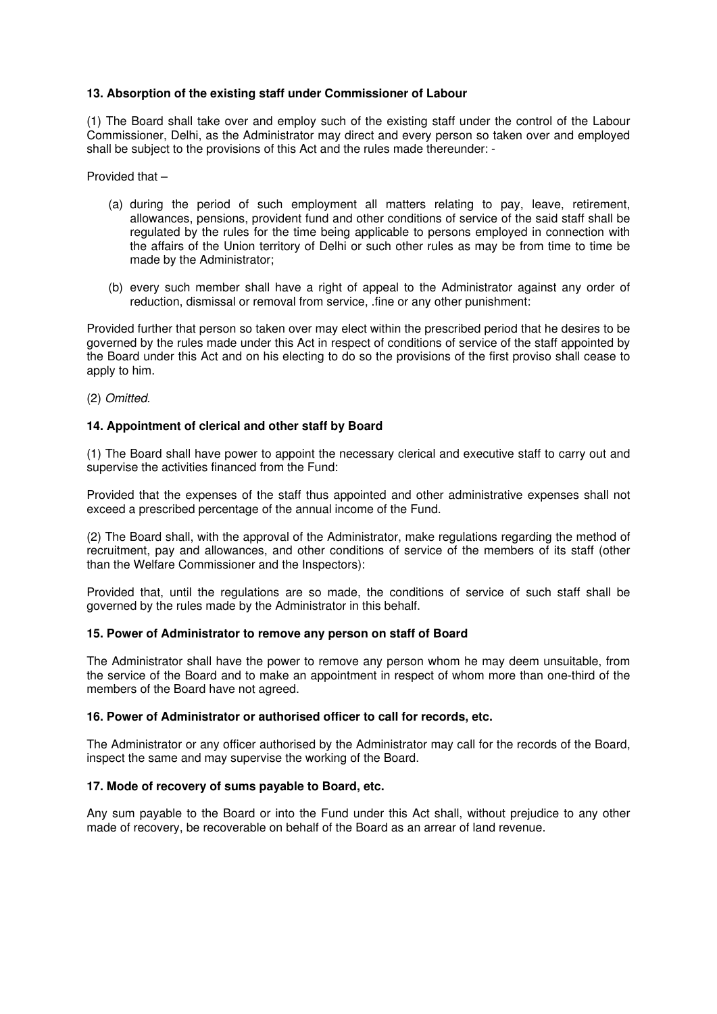## **13. Absorption of the existing staff under Commissioner of Labour**

(1) The Board shall take over and employ such of the existing staff under the control of the Labour Commissioner, Delhi, as the Administrator may direct and every person so taken over and employed shall be subject to the provisions of this Act and the rules made thereunder: -

Provided that –

- (a) during the period of such employment all matters relating to pay, leave, retirement, allowances, pensions, provident fund and other conditions of service of the said staff shall be regulated by the rules for the time being applicable to persons employed in connection with the affairs of the Union territory of Delhi or such other rules as may be from time to time be made by the Administrator;
- (b) every such member shall have a right of appeal to the Administrator against any order of reduction, dismissal or removal from service, .fine or any other punishment:

Provided further that person so taken over may elect within the prescribed period that he desires to be governed by the rules made under this Act in respect of conditions of service of the staff appointed by the Board under this Act and on his electing to do so the provisions of the first proviso shall cease to apply to him.

(2) Omitted.

## **14. Appointment of clerical and other staff by Board**

(1) The Board shall have power to appoint the necessary clerical and executive staff to carry out and supervise the activities financed from the Fund:

Provided that the expenses of the staff thus appointed and other administrative expenses shall not exceed a prescribed percentage of the annual income of the Fund.

(2) The Board shall, with the approval of the Administrator, make regulations regarding the method of recruitment, pay and allowances, and other conditions of service of the members of its staff (other than the Welfare Commissioner and the Inspectors):

Provided that, until the regulations are so made, the conditions of service of such staff shall be governed by the rules made by the Administrator in this behalf.

#### **15. Power of Administrator to remove any person on staff of Board**

The Administrator shall have the power to remove any person whom he may deem unsuitable, from the service of the Board and to make an appointment in respect of whom more than one-third of the members of the Board have not agreed.

# **16. Power of Administrator or authorised officer to call for records, etc.**

The Administrator or any officer authorised by the Administrator may call for the records of the Board, inspect the same and may supervise the working of the Board.

#### **17. Mode of recovery of sums payable to Board, etc.**

Any sum payable to the Board or into the Fund under this Act shall, without prejudice to any other made of recovery, be recoverable on behalf of the Board as an arrear of land revenue.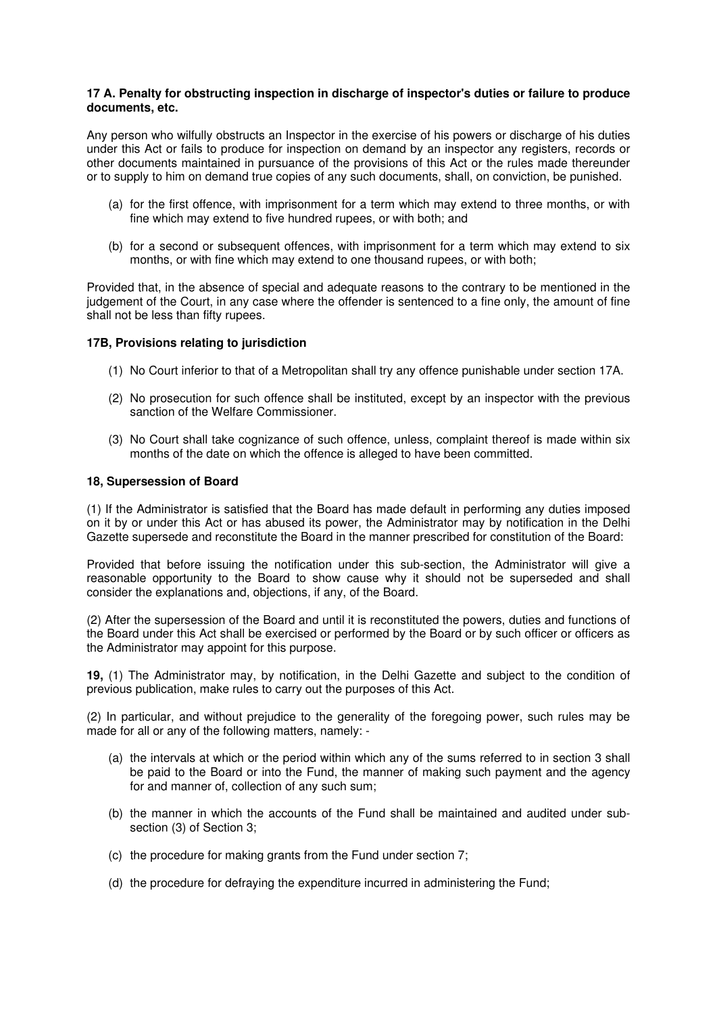## **17 A. Penalty for obstructing inspection in discharge of inspector's duties or failure to produce documents, etc.**

Any person who wilfully obstructs an Inspector in the exercise of his powers or discharge of his duties under this Act or fails to produce for inspection on demand by an inspector any registers, records or other documents maintained in pursuance of the provisions of this Act or the rules made thereunder or to supply to him on demand true copies of any such documents, shall, on conviction, be punished.

- (a) for the first offence, with imprisonment for a term which may extend to three months, or with fine which may extend to five hundred rupees, or with both; and
- (b) for a second or subsequent offences, with imprisonment for a term which may extend to six months, or with fine which may extend to one thousand rupees, or with both;

Provided that, in the absence of special and adequate reasons to the contrary to be mentioned in the judgement of the Court, in any case where the offender is sentenced to a fine only, the amount of fine shall not be less than fifty rupees.

## **17B, Provisions relating to jurisdiction**

- (1) No Court inferior to that of a Metropolitan shall try any offence punishable under section 17A.
- (2) No prosecution for such offence shall be instituted, except by an inspector with the previous sanction of the Welfare Commissioner.
- (3) No Court shall take cognizance of such offence, unless, complaint thereof is made within six months of the date on which the offence is alleged to have been committed.

#### **18, Supersession of Board**

(1) If the Administrator is satisfied that the Board has made default in performing any duties imposed on it by or under this Act or has abused its power, the Administrator may by notification in the Delhi Gazette supersede and reconstitute the Board in the manner prescribed for constitution of the Board:

Provided that before issuing the notification under this sub-section, the Administrator will give a reasonable opportunity to the Board to show cause why it should not be superseded and shall consider the explanations and, objections, if any, of the Board.

(2) After the supersession of the Board and until it is reconstituted the powers, duties and functions of the Board under this Act shall be exercised or performed by the Board or by such officer or officers as the Administrator may appoint for this purpose.

**19,** (1) The Administrator may, by notification, in the Delhi Gazette and subject to the condition of previous publication, make rules to carry out the purposes of this Act.

(2) In particular, and without prejudice to the generality of the foregoing power, such rules may be made for all or any of the following matters, namely: -

- (a) the intervals at which or the period within which any of the sums referred to in section 3 shall be paid to the Board or into the Fund, the manner of making such payment and the agency for and manner of, collection of any such sum;
- (b) the manner in which the accounts of the Fund shall be maintained and audited under subsection (3) of Section 3;
- (c) the procedure for making grants from the Fund under section 7;
- (d) the procedure for defraying the expenditure incurred in administering the Fund;